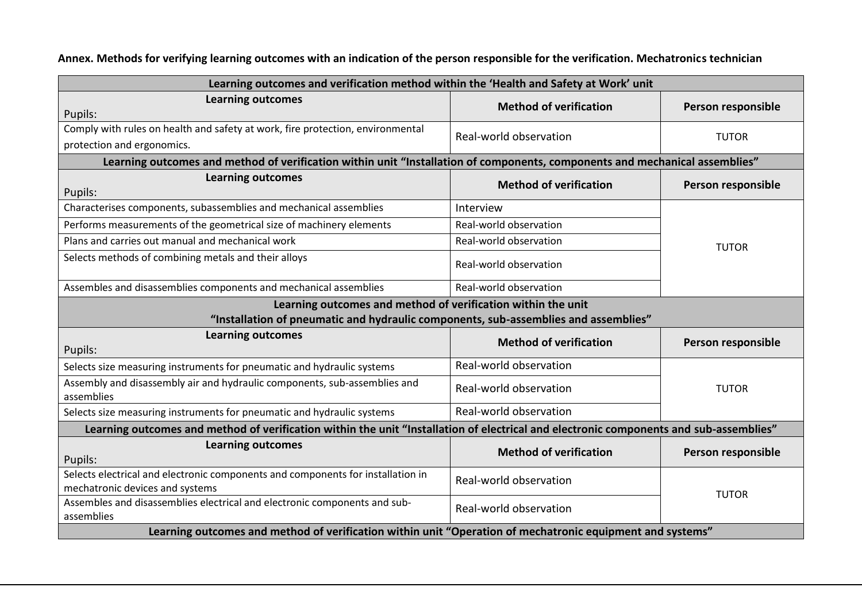**Annex. Methods for verifying learning outcomes with an indication of the person responsible for the verification. Mechatronics technician**

| Learning outcomes and verification method within the 'Health and Safety at Work' unit                                                  |                               |                    |  |  |
|----------------------------------------------------------------------------------------------------------------------------------------|-------------------------------|--------------------|--|--|
| <b>Learning outcomes</b><br>Pupils:                                                                                                    | <b>Method of verification</b> | Person responsible |  |  |
| Comply with rules on health and safety at work, fire protection, environmental                                                         |                               |                    |  |  |
| protection and ergonomics.                                                                                                             | Real-world observation        | <b>TUTOR</b>       |  |  |
| Learning outcomes and method of verification within unit "Installation of components, components and mechanical assemblies"            |                               |                    |  |  |
| <b>Learning outcomes</b><br>Pupils:                                                                                                    | <b>Method of verification</b> | Person responsible |  |  |
| Characterises components, subassemblies and mechanical assemblies                                                                      | Interview                     |                    |  |  |
| Performs measurements of the geometrical size of machinery elements                                                                    | Real-world observation        |                    |  |  |
| Plans and carries out manual and mechanical work                                                                                       | Real-world observation        | <b>TUTOR</b>       |  |  |
| Selects methods of combining metals and their alloys                                                                                   | Real-world observation        |                    |  |  |
| Assembles and disassemblies components and mechanical assemblies                                                                       | Real-world observation        |                    |  |  |
| Learning outcomes and method of verification within the unit                                                                           |                               |                    |  |  |
| "Installation of pneumatic and hydraulic components, sub-assemblies and assemblies"                                                    |                               |                    |  |  |
| <b>Learning outcomes</b><br>Pupils:                                                                                                    | <b>Method of verification</b> | Person responsible |  |  |
| Selects size measuring instruments for pneumatic and hydraulic systems                                                                 | Real-world observation        |                    |  |  |
| Assembly and disassembly air and hydraulic components, sub-assemblies and<br>assemblies                                                | Real-world observation        | <b>TUTOR</b>       |  |  |
| Selects size measuring instruments for pneumatic and hydraulic systems                                                                 | Real-world observation        |                    |  |  |
| Learning outcomes and method of verification within the unit "Installation of electrical and electronic components and sub-assemblies" |                               |                    |  |  |
| <b>Learning outcomes</b><br>Pupils:                                                                                                    | <b>Method of verification</b> | Person responsible |  |  |
| Selects electrical and electronic components and components for installation in<br>mechatronic devices and systems                     | Real-world observation        | <b>TUTOR</b>       |  |  |
| Assembles and disassemblies electrical and electronic components and sub-<br>assemblies                                                | Real-world observation        |                    |  |  |
| Learning outcomes and method of verification within unit "Operation of mechatronic equipment and systems"                              |                               |                    |  |  |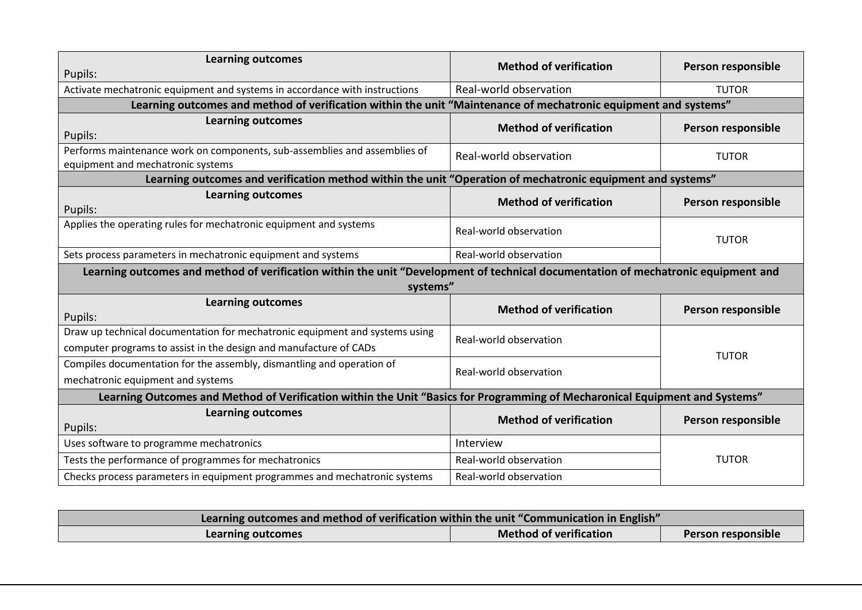| <b>Learning outcomes</b>                                                                                                                         | <b>Method of verification</b> | Person responsible |  |  |
|--------------------------------------------------------------------------------------------------------------------------------------------------|-------------------------------|--------------------|--|--|
| Pupils:                                                                                                                                          |                               |                    |  |  |
| Activate mechatronic equipment and systems in accordance with instructions                                                                       | Real-world observation        | <b>TUTOR</b>       |  |  |
| Learning outcomes and method of verification within the unit "Maintenance of mechatronic equipment and systems"                                  |                               |                    |  |  |
| <b>Learning outcomes</b><br>Pupils:                                                                                                              | <b>Method of verification</b> | Person responsible |  |  |
| Performs maintenance work on components, sub-assemblies and assemblies of<br>equipment and mechatronic systems                                   | Real-world observation        | <b>TUTOR</b>       |  |  |
| Learning outcomes and verification method within the unit "Operation of mechatronic equipment and systems"                                       |                               |                    |  |  |
| <b>Learning outcomes</b><br>Pupils:                                                                                                              | <b>Method of verification</b> | Person responsible |  |  |
| Applies the operating rules for mechatronic equipment and systems                                                                                | Real-world observation        | <b>TUTOR</b>       |  |  |
| Sets process parameters in mechatronic equipment and systems                                                                                     | Real-world observation        |                    |  |  |
| Learning outcomes and method of verification within the unit "Development of technical documentation of mechatronic equipment and                |                               |                    |  |  |
| systems"                                                                                                                                         |                               |                    |  |  |
| <b>Learning outcomes</b><br>Pupils:                                                                                                              | <b>Method of verification</b> | Person responsible |  |  |
| Draw up technical documentation for mechatronic equipment and systems using<br>computer programs to assist in the design and manufacture of CADs | Real-world observation        | <b>TUTOR</b>       |  |  |
| Compiles documentation for the assembly, dismantling and operation of<br>mechatronic equipment and systems                                       | Real-world observation        |                    |  |  |
| Learning Outcomes and Method of Verification within the Unit "Basics for Programming of Mecharonical Equipment and Systems"                      |                               |                    |  |  |
| <b>Learning outcomes</b><br>Pupils:                                                                                                              | <b>Method of verification</b> | Person responsible |  |  |
| Uses software to programme mechatronics                                                                                                          | Interview                     | <b>TUTOR</b>       |  |  |
| Tests the performance of programmes for mechatronics                                                                                             | Real-world observation        |                    |  |  |
| Checks process parameters in equipment programmes and mechatronic systems                                                                        | Real-world observation        |                    |  |  |

| Learning outcomes and method of verification within the unit "Communication in English" |                               |                    |  |
|-----------------------------------------------------------------------------------------|-------------------------------|--------------------|--|
| Learning outcomes                                                                       | <b>Method of verification</b> | Person responsible |  |